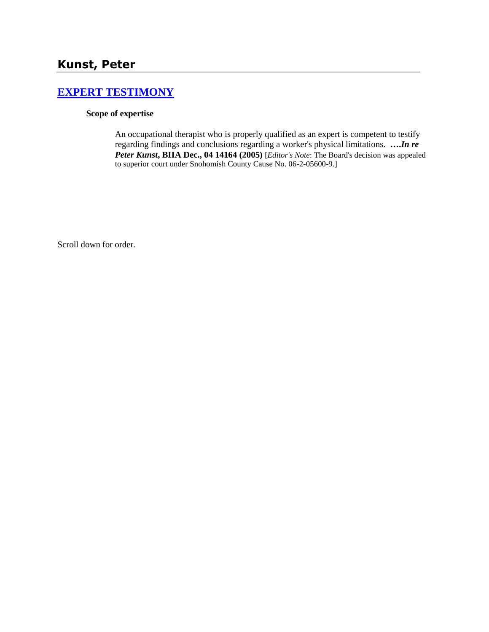# **[EXPERT TESTIMONY](http://www.biia.wa.gov/SDSubjectIndex.html#EXPERT_TESTIMONY)**

## **Scope of expertise**

An occupational therapist who is properly qualified as an expert is competent to testify regarding findings and conclusions regarding a worker's physical limitations. **….***In re Peter Kunst***, BIIA Dec., 04 14164 (2005)** [*Editor's Note*: The Board's decision was appealed to superior court under Snohomish County Cause No. 06-2-05600-9.]

Scroll down for order.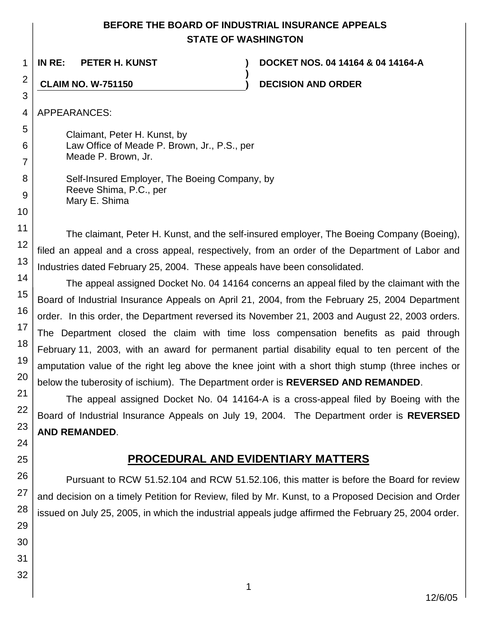# **BEFORE THE BOARD OF INDUSTRIAL INSURANCE APPEALS STATE OF WASHINGTON**

**)**

1

**IN RE: PETER H. KUNST ) DOCKET NOS. 04 14164 & 04 14164-A**

**CLAIM NO. W-751150 ) DECISION AND ORDER**

APPEARANCES:

Claimant, Peter H. Kunst, by Law Office of Meade P. Brown, Jr., P.S., per Meade P. Brown, Jr.

Self-Insured Employer, The Boeing Company, by Reeve Shima, P.C., per Mary E. Shima

The claimant, Peter H. Kunst, and the self-insured employer, The Boeing Company (Boeing), filed an appeal and a cross appeal, respectively, from an order of the Department of Labor and Industries dated February 25, 2004. These appeals have been consolidated.

The appeal assigned Docket No. 04 14164 concerns an appeal filed by the claimant with the Board of Industrial Insurance Appeals on April 21, 2004, from the February 25, 2004 Department order. In this order, the Department reversed its November 21, 2003 and August 22, 2003 orders. The Department closed the claim with time loss compensation benefits as paid through February 11, 2003, with an award for permanent partial disability equal to ten percent of the amputation value of the right leg above the knee joint with a short thigh stump (three inches or below the tuberosity of ischium). The Department order is **REVERSED AND REMANDED**.

The appeal assigned Docket No. 04 14164-A is a cross-appeal filed by Boeing with the Board of Industrial Insurance Appeals on July 19, 2004. The Department order is **REVERSED AND REMANDED**.

# **PROCEDURAL AND EVIDENTIARY MATTERS**

Pursuant to RCW 51.52.104 and RCW 51.52.106, this matter is before the Board for review and decision on a timely Petition for Review, filed by Mr. Kunst, to a Proposed Decision and Order issued on July 25, 2005, in which the industrial appeals judge affirmed the February 25, 2004 order.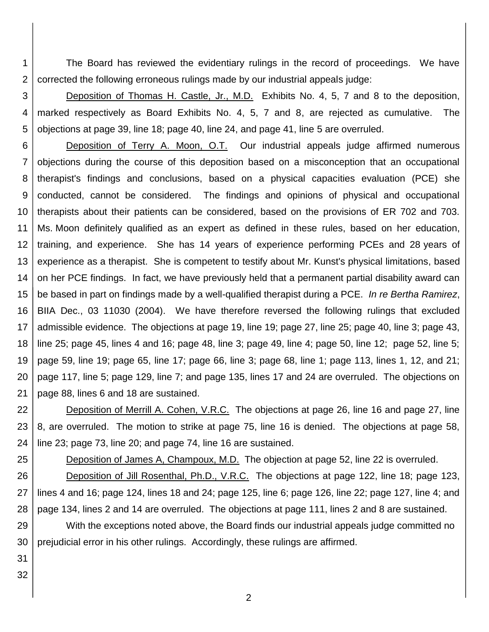1 2 The Board has reviewed the evidentiary rulings in the record of proceedings. We have corrected the following erroneous rulings made by our industrial appeals judge:

3 4 5 Deposition of Thomas H. Castle, Jr., M.D. Exhibits No. 4, 5, 7 and 8 to the deposition, marked respectively as Board Exhibits No. 4, 5, 7 and 8, are rejected as cumulative. The objections at page 39, line 18; page 40, line 24, and page 41, line 5 are overruled.

6 7 8 9 10 11 12 13 14 15 16 17 18 19 20 21 Deposition of Terry A. Moon, O.T. Our industrial appeals judge affirmed numerous objections during the course of this deposition based on a misconception that an occupational therapist's findings and conclusions, based on a physical capacities evaluation (PCE) she conducted, cannot be considered. The findings and opinions of physical and occupational therapists about their patients can be considered, based on the provisions of ER 702 and 703. Ms. Moon definitely qualified as an expert as defined in these rules, based on her education, training, and experience. She has 14 years of experience performing PCEs and 28 years of experience as a therapist. She is competent to testify about Mr. Kunst's physical limitations, based on her PCE findings. In fact, we have previously held that a permanent partial disability award can be based in part on findings made by a well-qualified therapist during a PCE. *In re Bertha Ramirez*, BIIA Dec., 03 11030 (2004). We have therefore reversed the following rulings that excluded admissible evidence. The objections at page 19, line 19; page 27, line 25; page 40, line 3; page 43, line 25; page 45, lines 4 and 16; page 48, line 3; page 49, line 4; page 50, line 12; page 52, line 5; page 59, line 19; page 65, line 17; page 66, line 3; page 68, line 1; page 113, lines 1, 12, and 21; page 117, line 5; page 129, line 7; and page 135, lines 17 and 24 are overruled. The objections on page 88, lines 6 and 18 are sustained.

22 23 24 Deposition of Merrill A. Cohen, V.R.C. The objections at page 26, line 16 and page 27, line 8, are overruled. The motion to strike at page 75, line 16 is denied. The objections at page 58, line 23; page 73, line 20; and page 74, line 16 are sustained.

25 Deposition of James A, Champoux, M.D. The objection at page 52, line 22 is overruled.

26 27 28 Deposition of Jill Rosenthal, Ph.D., V.R.C. The objections at page 122, line 18; page 123, lines 4 and 16; page 124, lines 18 and 24; page 125, line 6; page 126, line 22; page 127, line 4; and page 134, lines 2 and 14 are overruled. The objections at page 111, lines 2 and 8 are sustained.

29 30 With the exceptions noted above, the Board finds our industrial appeals judge committed no prejudicial error in his other rulings. Accordingly, these rulings are affirmed.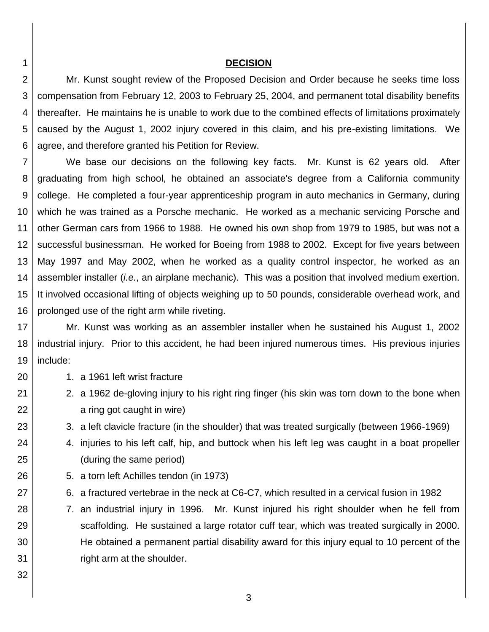#### **DECISION**

3 4 5 6 Mr. Kunst sought review of the Proposed Decision and Order because he seeks time loss compensation from February 12, 2003 to February 25, 2004, and permanent total disability benefits thereafter. He maintains he is unable to work due to the combined effects of limitations proximately caused by the August 1, 2002 injury covered in this claim, and his pre-existing limitations. We agree, and therefore granted his Petition for Review.

7 8 9 10 11 12 13 14 15 16 We base our decisions on the following key facts. Mr. Kunst is 62 years old. After graduating from high school, he obtained an associate's degree from a California community college. He completed a four-year apprenticeship program in auto mechanics in Germany, during which he was trained as a Porsche mechanic. He worked as a mechanic servicing Porsche and other German cars from 1966 to 1988. He owned his own shop from 1979 to 1985, but was not a successful businessman. He worked for Boeing from 1988 to 2002. Except for five years between May 1997 and May 2002, when he worked as a quality control inspector, he worked as an assembler installer (*i.e.*, an airplane mechanic). This was a position that involved medium exertion. It involved occasional lifting of objects weighing up to 50 pounds, considerable overhead work, and prolonged use of the right arm while riveting.

17 18 19 Mr. Kunst was working as an assembler installer when he sustained his August 1, 2002 industrial injury. Prior to this accident, he had been injured numerous times. His previous injuries include:

- 1. a 1961 left wrist fracture
	- 2. a 1962 de-gloving injury to his right ring finger (his skin was torn down to the bone when a ring got caught in wire)
	- 3. a left clavicle fracture (in the shoulder) that was treated surgically (between 1966-1969)
	- 4. injuries to his left calf, hip, and buttock when his left leg was caught in a boat propeller (during the same period)
- 5. a torn left Achilles tendon (in 1973)
- 6. a fractured vertebrae in the neck at C6-C7, which resulted in a cervical fusion in 1982
- 7. an industrial injury in 1996. Mr. Kunst injured his right shoulder when he fell from scaffolding. He sustained a large rotator cuff tear, which was treated surgically in 2000. He obtained a permanent partial disability award for this injury equal to 10 percent of the right arm at the shoulder.

1 2

20

21

22

23

24

25

26

27

28

29

30

31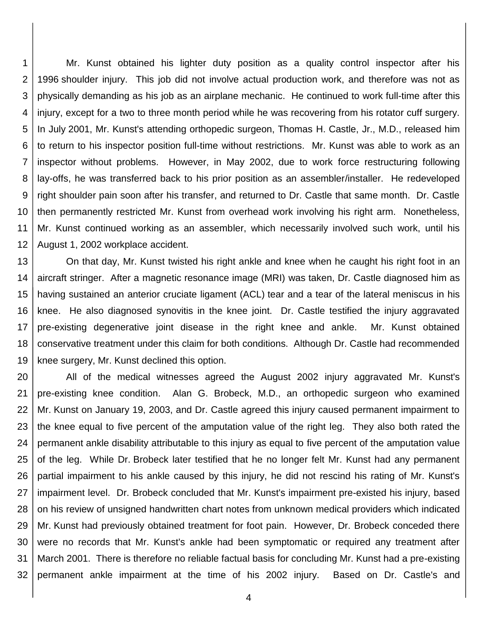1 2 3 4 5 6 7 8 9 10 11 12 Mr. Kunst obtained his lighter duty position as a quality control inspector after his 1996 shoulder injury. This job did not involve actual production work, and therefore was not as physically demanding as his job as an airplane mechanic. He continued to work full-time after this injury, except for a two to three month period while he was recovering from his rotator cuff surgery. In July 2001, Mr. Kunst's attending orthopedic surgeon, Thomas H. Castle, Jr., M.D., released him to return to his inspector position full-time without restrictions. Mr. Kunst was able to work as an inspector without problems. However, in May 2002, due to work force restructuring following lay-offs, he was transferred back to his prior position as an assembler/installer. He redeveloped right shoulder pain soon after his transfer, and returned to Dr. Castle that same month. Dr. Castle then permanently restricted Mr. Kunst from overhead work involving his right arm. Nonetheless, Mr. Kunst continued working as an assembler, which necessarily involved such work, until his August 1, 2002 workplace accident.

13 14 15 16 17 18 19 On that day, Mr. Kunst twisted his right ankle and knee when he caught his right foot in an aircraft stringer. After a magnetic resonance image (MRI) was taken, Dr. Castle diagnosed him as having sustained an anterior cruciate ligament (ACL) tear and a tear of the lateral meniscus in his knee. He also diagnosed synovitis in the knee joint. Dr. Castle testified the injury aggravated pre-existing degenerative joint disease in the right knee and ankle. Mr. Kunst obtained conservative treatment under this claim for both conditions. Although Dr. Castle had recommended knee surgery, Mr. Kunst declined this option.

20 21 22 23 24 25 26 27 28 29 30 31 32 All of the medical witnesses agreed the August 2002 injury aggravated Mr. Kunst's pre-existing knee condition. Alan G. Brobeck, M.D., an orthopedic surgeon who examined Mr. Kunst on January 19, 2003, and Dr. Castle agreed this injury caused permanent impairment to the knee equal to five percent of the amputation value of the right leg. They also both rated the permanent ankle disability attributable to this injury as equal to five percent of the amputation value of the leg. While Dr. Brobeck later testified that he no longer felt Mr. Kunst had any permanent partial impairment to his ankle caused by this injury, he did not rescind his rating of Mr. Kunst's impairment level. Dr. Brobeck concluded that Mr. Kunst's impairment pre-existed his injury, based on his review of unsigned handwritten chart notes from unknown medical providers which indicated Mr. Kunst had previously obtained treatment for foot pain. However, Dr. Brobeck conceded there were no records that Mr. Kunst's ankle had been symptomatic or required any treatment after March 2001. There is therefore no reliable factual basis for concluding Mr. Kunst had a pre-existing permanent ankle impairment at the time of his 2002 injury. Based on Dr. Castle's and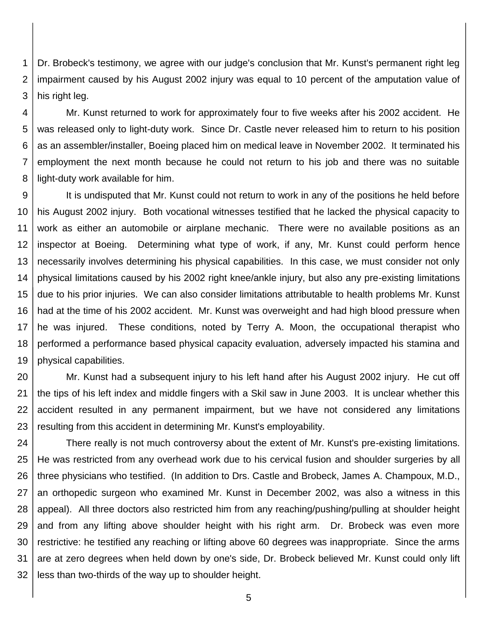1 2 3 Dr. Brobeck's testimony, we agree with our judge's conclusion that Mr. Kunst's permanent right leg impairment caused by his August 2002 injury was equal to 10 percent of the amputation value of his right leg.

4 5 6 7 8 Mr. Kunst returned to work for approximately four to five weeks after his 2002 accident. He was released only to light-duty work. Since Dr. Castle never released him to return to his position as an assembler/installer, Boeing placed him on medical leave in November 2002. It terminated his employment the next month because he could not return to his job and there was no suitable light-duty work available for him.

9 10 11 12 13 14 15 16 17 18 19 It is undisputed that Mr. Kunst could not return to work in any of the positions he held before his August 2002 injury. Both vocational witnesses testified that he lacked the physical capacity to work as either an automobile or airplane mechanic. There were no available positions as an inspector at Boeing. Determining what type of work, if any, Mr. Kunst could perform hence necessarily involves determining his physical capabilities. In this case, we must consider not only physical limitations caused by his 2002 right knee/ankle injury, but also any pre-existing limitations due to his prior injuries. We can also consider limitations attributable to health problems Mr. Kunst had at the time of his 2002 accident. Mr. Kunst was overweight and had high blood pressure when he was injured. These conditions, noted by Terry A. Moon, the occupational therapist who performed a performance based physical capacity evaluation, adversely impacted his stamina and physical capabilities.

20 21 22 23 Mr. Kunst had a subsequent injury to his left hand after his August 2002 injury. He cut off the tips of his left index and middle fingers with a Skil saw in June 2003. It is unclear whether this accident resulted in any permanent impairment, but we have not considered any limitations resulting from this accident in determining Mr. Kunst's employability.

24 25 26 27 28 29 30 31 32 There really is not much controversy about the extent of Mr. Kunst's pre-existing limitations. He was restricted from any overhead work due to his cervical fusion and shoulder surgeries by all three physicians who testified. (In addition to Drs. Castle and Brobeck, James A. Champoux, M.D., an orthopedic surgeon who examined Mr. Kunst in December 2002, was also a witness in this appeal). All three doctors also restricted him from any reaching/pushing/pulling at shoulder height and from any lifting above shoulder height with his right arm. Dr. Brobeck was even more restrictive: he testified any reaching or lifting above 60 degrees was inappropriate. Since the arms are at zero degrees when held down by one's side, Dr. Brobeck believed Mr. Kunst could only lift less than two-thirds of the way up to shoulder height.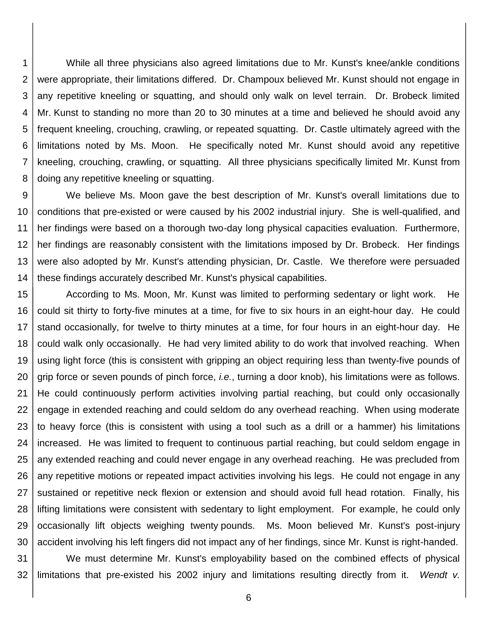1 2 3 4 5 6 7 8 While all three physicians also agreed limitations due to Mr. Kunst's knee/ankle conditions were appropriate, their limitations differed. Dr. Champoux believed Mr. Kunst should not engage in any repetitive kneeling or squatting, and should only walk on level terrain. Dr. Brobeck limited Mr. Kunst to standing no more than 20 to 30 minutes at a time and believed he should avoid any frequent kneeling, crouching, crawling, or repeated squatting. Dr. Castle ultimately agreed with the limitations noted by Ms. Moon. He specifically noted Mr. Kunst should avoid any repetitive kneeling, crouching, crawling, or squatting. All three physicians specifically limited Mr. Kunst from doing any repetitive kneeling or squatting.

9 10 11 12 13 14 We believe Ms. Moon gave the best description of Mr. Kunst's overall limitations due to conditions that pre-existed or were caused by his 2002 industrial injury. She is well-qualified, and her findings were based on a thorough two-day long physical capacities evaluation. Furthermore, her findings are reasonably consistent with the limitations imposed by Dr. Brobeck. Her findings were also adopted by Mr. Kunst's attending physician, Dr. Castle. We therefore were persuaded these findings accurately described Mr. Kunst's physical capabilities.

15 16 17 18 19 20 21 22 23 24 25 26 27 28 29 30 According to Ms. Moon, Mr. Kunst was limited to performing sedentary or light work. He could sit thirty to forty-five minutes at a time, for five to six hours in an eight-hour day. He could stand occasionally, for twelve to thirty minutes at a time, for four hours in an eight-hour day. He could walk only occasionally. He had very limited ability to do work that involved reaching. When using light force (this is consistent with gripping an object requiring less than twenty-five pounds of grip force or seven pounds of pinch force, *i.e.*, turning a door knob), his limitations were as follows. He could continuously perform activities involving partial reaching, but could only occasionally engage in extended reaching and could seldom do any overhead reaching. When using moderate to heavy force (this is consistent with using a tool such as a drill or a hammer) his limitations increased. He was limited to frequent to continuous partial reaching, but could seldom engage in any extended reaching and could never engage in any overhead reaching. He was precluded from any repetitive motions or repeated impact activities involving his legs. He could not engage in any sustained or repetitive neck flexion or extension and should avoid full head rotation. Finally, his lifting limitations were consistent with sedentary to light employment. For example, he could only occasionally lift objects weighing twenty pounds. Ms. Moon believed Mr. Kunst's post-injury accident involving his left fingers did not impact any of her findings, since Mr. Kunst is right-handed.

31 32 We must determine Mr. Kunst's employability based on the combined effects of physical limitations that pre-existed his 2002 injury and limitations resulting directly from it. *Wendt v.*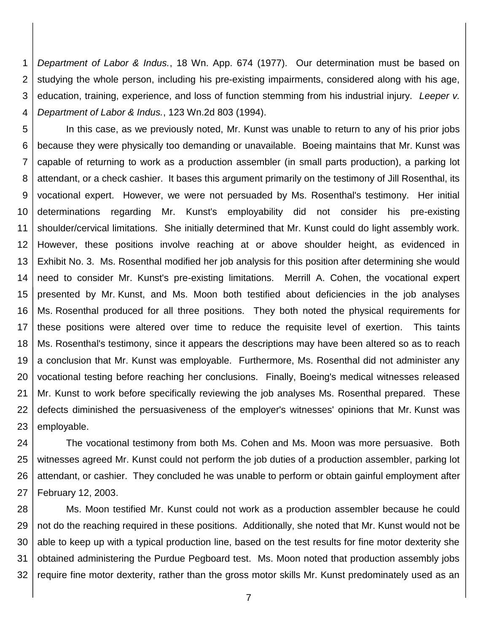1 2 3 4 *Department of Labor & Indus.*, 18 Wn. App. 674 (1977). Our determination must be based on studying the whole person, including his pre-existing impairments, considered along with his age, education, training, experience, and loss of function stemming from his industrial injury. *Leeper v. Department of Labor & Indus.*, 123 Wn.2d 803 (1994).

5 6 7 8 9 10 11 12 13 14 15 16 17 18 19 20 21 22 23 In this case, as we previously noted, Mr. Kunst was unable to return to any of his prior jobs because they were physically too demanding or unavailable. Boeing maintains that Mr. Kunst was capable of returning to work as a production assembler (in small parts production), a parking lot attendant, or a check cashier. It bases this argument primarily on the testimony of Jill Rosenthal, its vocational expert. However, we were not persuaded by Ms. Rosenthal's testimony. Her initial determinations regarding Mr. Kunst's employability did not consider his pre-existing shoulder/cervical limitations. She initially determined that Mr. Kunst could do light assembly work. However, these positions involve reaching at or above shoulder height, as evidenced in Exhibit No. 3. Ms. Rosenthal modified her job analysis for this position after determining she would need to consider Mr. Kunst's pre-existing limitations. Merrill A. Cohen, the vocational expert presented by Mr. Kunst, and Ms. Moon both testified about deficiencies in the job analyses Ms. Rosenthal produced for all three positions. They both noted the physical requirements for these positions were altered over time to reduce the requisite level of exertion. This taints Ms. Rosenthal's testimony, since it appears the descriptions may have been altered so as to reach a conclusion that Mr. Kunst was employable. Furthermore, Ms. Rosenthal did not administer any vocational testing before reaching her conclusions. Finally, Boeing's medical witnesses released Mr. Kunst to work before specifically reviewing the job analyses Ms. Rosenthal prepared. These defects diminished the persuasiveness of the employer's witnesses' opinions that Mr. Kunst was employable.

24 25 26 27 The vocational testimony from both Ms. Cohen and Ms. Moon was more persuasive. Both witnesses agreed Mr. Kunst could not perform the job duties of a production assembler, parking lot attendant, or cashier. They concluded he was unable to perform or obtain gainful employment after February 12, 2003.

28 29 30 31 32 Ms. Moon testified Mr. Kunst could not work as a production assembler because he could not do the reaching required in these positions. Additionally, she noted that Mr. Kunst would not be able to keep up with a typical production line, based on the test results for fine motor dexterity she obtained administering the Purdue Pegboard test. Ms. Moon noted that production assembly jobs require fine motor dexterity, rather than the gross motor skills Mr. Kunst predominately used as an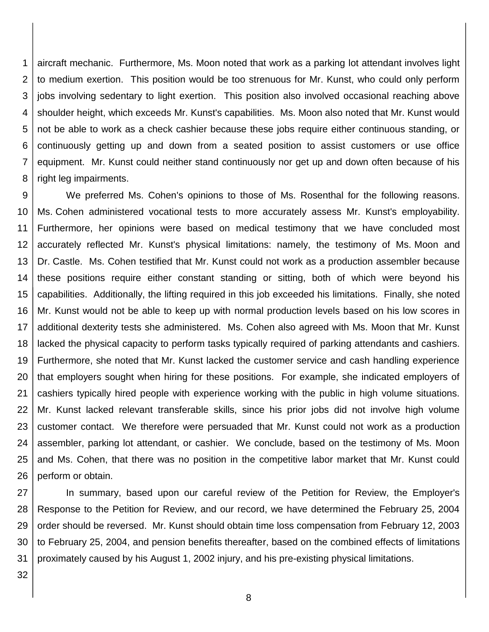1 2 3 4 5 6 7 8 aircraft mechanic. Furthermore, Ms. Moon noted that work as a parking lot attendant involves light to medium exertion. This position would be too strenuous for Mr. Kunst, who could only perform jobs involving sedentary to light exertion. This position also involved occasional reaching above shoulder height, which exceeds Mr. Kunst's capabilities. Ms. Moon also noted that Mr. Kunst would not be able to work as a check cashier because these jobs require either continuous standing, or continuously getting up and down from a seated position to assist customers or use office equipment. Mr. Kunst could neither stand continuously nor get up and down often because of his right leg impairments.

9 10 11 12 13 14 15 16 17 18 19 20 21 22 23 24 25 26 We preferred Ms. Cohen's opinions to those of Ms. Rosenthal for the following reasons. Ms. Cohen administered vocational tests to more accurately assess Mr. Kunst's employability. Furthermore, her opinions were based on medical testimony that we have concluded most accurately reflected Mr. Kunst's physical limitations: namely, the testimony of Ms. Moon and Dr. Castle. Ms. Cohen testified that Mr. Kunst could not work as a production assembler because these positions require either constant standing or sitting, both of which were beyond his capabilities. Additionally, the lifting required in this job exceeded his limitations. Finally, she noted Mr. Kunst would not be able to keep up with normal production levels based on his low scores in additional dexterity tests she administered. Ms. Cohen also agreed with Ms. Moon that Mr. Kunst lacked the physical capacity to perform tasks typically required of parking attendants and cashiers. Furthermore, she noted that Mr. Kunst lacked the customer service and cash handling experience that employers sought when hiring for these positions. For example, she indicated employers of cashiers typically hired people with experience working with the public in high volume situations. Mr. Kunst lacked relevant transferable skills, since his prior jobs did not involve high volume customer contact. We therefore were persuaded that Mr. Kunst could not work as a production assembler, parking lot attendant, or cashier. We conclude, based on the testimony of Ms. Moon and Ms. Cohen, that there was no position in the competitive labor market that Mr. Kunst could perform or obtain.

27 28 29 30 31 In summary, based upon our careful review of the Petition for Review, the Employer's Response to the Petition for Review, and our record, we have determined the February 25, 2004 order should be reversed. Mr. Kunst should obtain time loss compensation from February 12, 2003 to February 25, 2004, and pension benefits thereafter, based on the combined effects of limitations proximately caused by his August 1, 2002 injury, and his pre-existing physical limitations.

32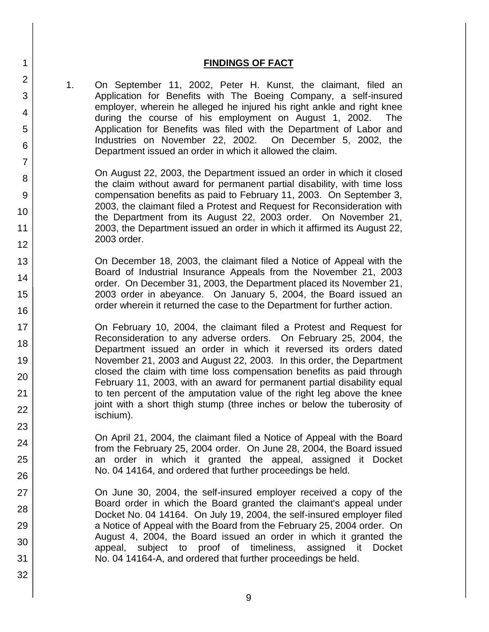## **FINDINGS OF FACT**

1. On September 11, 2002, Peter H. Kunst, the claimant, filed an Application for Benefits with The Boeing Company, a self-insured employer, wherein he alleged he injured his right ankle and right knee during the course of his employment on August 1, 2002. The Application for Benefits was filed with the Department of Labor and Industries on November 22, 2002. On December 5, 2002, the Department issued an order in which it allowed the claim.

On August 22, 2003, the Department issued an order in which it closed the claim without award for permanent partial disability, with time loss compensation benefits as paid to February 11, 2003. On September 3, 2003, the claimant filed a Protest and Request for Reconsideration with the Department from its August 22, 2003 order. On November 21, 2003, the Department issued an order in which it affirmed its August 22, 2003 order.

On December 18, 2003, the claimant filed a Notice of Appeal with the Board of Industrial Insurance Appeals from the November 21, 2003 order. On December 31, 2003, the Department placed its November 21, 2003 order in abeyance. On January 5, 2004, the Board issued an order wherein it returned the case to the Department for further action.

On February 10, 2004, the claimant filed a Protest and Request for Reconsideration to any adverse orders. On February 25, 2004, the Department issued an order in which it reversed its orders dated November 21, 2003 and August 22, 2003. In this order, the Department closed the claim with time loss compensation benefits as paid through February 11, 2003, with an award for permanent partial disability equal to ten percent of the amputation value of the right leg above the knee joint with a short thigh stump (three inches or below the tuberosity of ischium).

On April 21, 2004, the claimant filed a Notice of Appeal with the Board from the February 25, 2004 order. On June 28, 2004, the Board issued an order in which it granted the appeal, assigned it Docket No. 04 14164, and ordered that further proceedings be held.

On June 30, 2004, the self-insured employer received a copy of the Board order in which the Board granted the claimant's appeal under Docket No. 04 14164. On July 19, 2004, the self-insured employer filed a Notice of Appeal with the Board from the February 25, 2004 order. On August 4, 2004, the Board issued an order in which it granted the appeal, subject to proof of timeliness, assigned it Docket No. 04 14164-A, and ordered that further proceedings be held.

1

2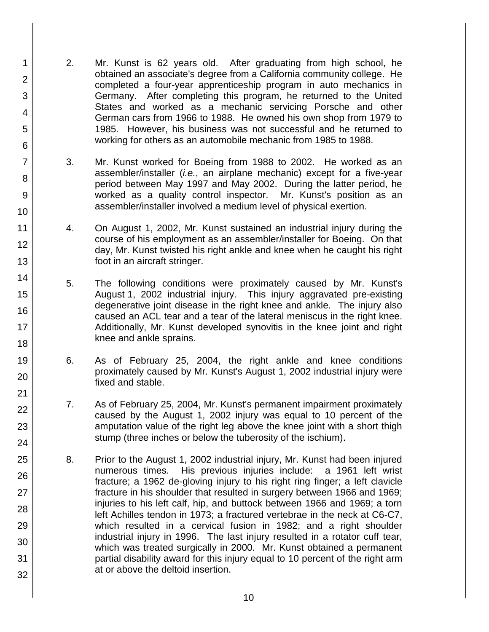2. Mr. Kunst is 62 years old. After graduating from high school, he obtained an associate's degree from a California community college. He completed a four-year apprenticeship program in auto mechanics in Germany. After completing this program, he returned to the United States and worked as a mechanic servicing Porsche and other German cars from 1966 to 1988. He owned his own shop from 1979 to 1985. However, his business was not successful and he returned to working for others as an automobile mechanic from 1985 to 1988.

1

2

3

4

5

6

7

8

9

10

11

12

13

14

15

16

17 18

19

20

21 22

23

24

25

26

27

28

29

30

31

- 3. Mr. Kunst worked for Boeing from 1988 to 2002. He worked as an assembler/installer (*i.e.*, an airplane mechanic) except for a five-year period between May 1997 and May 2002. During the latter period, he worked as a quality control inspector. Mr. Kunst's position as an assembler/installer involved a medium level of physical exertion.
- 4. On August 1, 2002, Mr. Kunst sustained an industrial injury during the course of his employment as an assembler/installer for Boeing. On that day, Mr. Kunst twisted his right ankle and knee when he caught his right foot in an aircraft stringer.
- 5. The following conditions were proximately caused by Mr. Kunst's August 1, 2002 industrial injury. This injury aggravated pre-existing degenerative joint disease in the right knee and ankle. The injury also caused an ACL tear and a tear of the lateral meniscus in the right knee. Additionally, Mr. Kunst developed synovitis in the knee joint and right knee and ankle sprains.
- 6. As of February 25, 2004, the right ankle and knee conditions proximately caused by Mr. Kunst's August 1, 2002 industrial injury were fixed and stable.
- 7. As of February 25, 2004, Mr. Kunst's permanent impairment proximately caused by the August 1, 2002 injury was equal to 10 percent of the amputation value of the right leg above the knee joint with a short thigh stump (three inches or below the tuberosity of the ischium).
- 8. Prior to the August 1, 2002 industrial injury, Mr. Kunst had been injured numerous times. His previous injuries include: a 1961 left wrist fracture; a 1962 de-gloving injury to his right ring finger; a left clavicle fracture in his shoulder that resulted in surgery between 1966 and 1969; injuries to his left calf, hip, and buttock between 1966 and 1969; a torn left Achilles tendon in 1973; a fractured vertebrae in the neck at C6-C7, which resulted in a cervical fusion in 1982; and a right shoulder industrial injury in 1996. The last injury resulted in a rotator cuff tear, which was treated surgically in 2000. Mr. Kunst obtained a permanent partial disability award for this injury equal to 10 percent of the right arm at or above the deltoid insertion.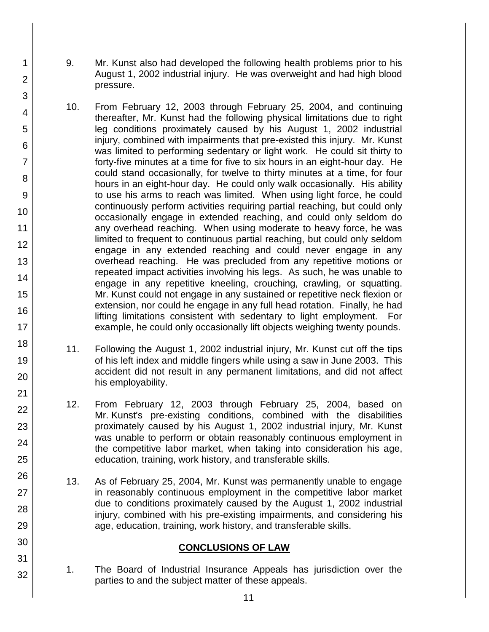9. Mr. Kunst also had developed the following health problems prior to his August 1, 2002 industrial injury. He was overweight and had high blood pressure.

1

2

3

4

5

6

7

8

9

10

11

12

13

14

15

16

17

18

19

20

21 22

23

24

25

26

27

28

29

30

31

32

- 10. From February 12, 2003 through February 25, 2004, and continuing thereafter, Mr. Kunst had the following physical limitations due to right leg conditions proximately caused by his August 1, 2002 industrial injury, combined with impairments that pre-existed this injury. Mr. Kunst was limited to performing sedentary or light work. He could sit thirty to forty-five minutes at a time for five to six hours in an eight-hour day. He could stand occasionally, for twelve to thirty minutes at a time, for four hours in an eight-hour day. He could only walk occasionally. His ability to use his arms to reach was limited. When using light force, he could continuously perform activities requiring partial reaching, but could only occasionally engage in extended reaching, and could only seldom do any overhead reaching. When using moderate to heavy force, he was limited to frequent to continuous partial reaching, but could only seldom engage in any extended reaching and could never engage in any overhead reaching. He was precluded from any repetitive motions or repeated impact activities involving his legs. As such, he was unable to engage in any repetitive kneeling, crouching, crawling, or squatting. Mr. Kunst could not engage in any sustained or repetitive neck flexion or extension, nor could he engage in any full head rotation. Finally, he had lifting limitations consistent with sedentary to light employment. For example, he could only occasionally lift objects weighing twenty pounds.
- 11. Following the August 1, 2002 industrial injury, Mr. Kunst cut off the tips of his left index and middle fingers while using a saw in June 2003. This accident did not result in any permanent limitations, and did not affect his employability.
- 12. From February 12, 2003 through February 25, 2004, based on Mr. Kunst's pre-existing conditions, combined with the disabilities proximately caused by his August 1, 2002 industrial injury, Mr. Kunst was unable to perform or obtain reasonably continuous employment in the competitive labor market, when taking into consideration his age, education, training, work history, and transferable skills.
- 13. As of February 25, 2004, Mr. Kunst was permanently unable to engage in reasonably continuous employment in the competitive labor market due to conditions proximately caused by the August 1, 2002 industrial injury, combined with his pre-existing impairments, and considering his age, education, training, work history, and transferable skills.

## **CONCLUSIONS OF LAW**

1. The Board of Industrial Insurance Appeals has jurisdiction over the parties to and the subject matter of these appeals.